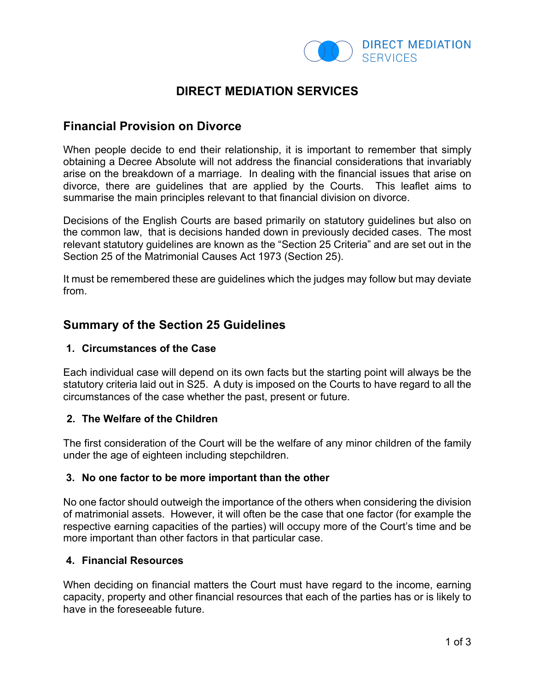

# **DIRECT MEDIATION SERVICES**

# **Financial Provision on Divorce**

When people decide to end their relationship, it is important to remember that simply obtaining a Decree Absolute will not address the financial considerations that invariably arise on the breakdown of a marriage. In dealing with the financial issues that arise on divorce, there are guidelines that are applied by the Courts. This leaflet aims to summarise the main principles relevant to that financial division on divorce.

Decisions of the English Courts are based primarily on statutory guidelines but also on the common law, that is decisions handed down in previously decided cases. The most relevant statutory guidelines are known as the "Section 25 Criteria" and are set out in the Section 25 of the Matrimonial Causes Act 1973 (Section 25).

It must be remembered these are guidelines which the judges may follow but may deviate from.

# **Summary of the Section 25 Guidelines**

#### **1. Circumstances of the Case**

Each individual case will depend on its own facts but the starting point will always be the statutory criteria laid out in S25. A duty is imposed on the Courts to have regard to all the circumstances of the case whether the past, present or future.

#### **2. The Welfare of the Children**

The first consideration of the Court will be the welfare of any minor children of the family under the age of eighteen including stepchildren.

#### **3. No one factor to be more important than the other**

No one factor should outweigh the importance of the others when considering the division of matrimonial assets. However, it will often be the case that one factor (for example the respective earning capacities of the parties) will occupy more of the Court's time and be more important than other factors in that particular case.

#### **4. Financial Resources**

When deciding on financial matters the Court must have regard to the income, earning capacity, property and other financial resources that each of the parties has or is likely to have in the foreseeable future.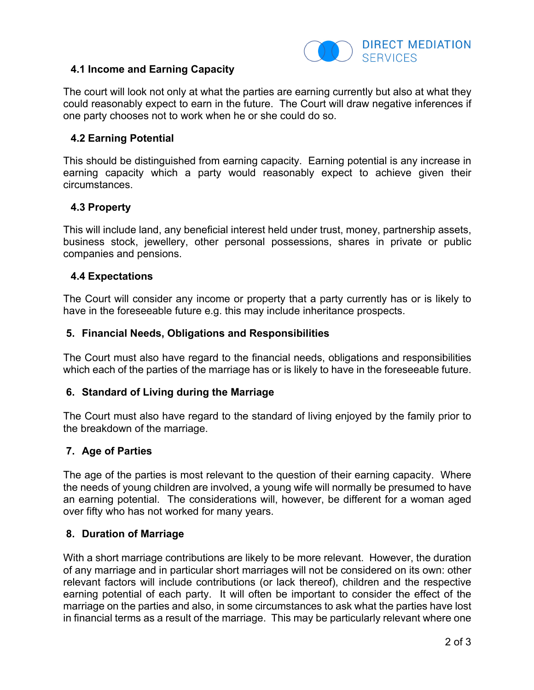

### **4.1 Income and Earning Capacity**

The court will look not only at what the parties are earning currently but also at what they could reasonably expect to earn in the future. The Court will draw negative inferences if one party chooses not to work when he or she could do so.

### **4.2 Earning Potential**

This should be distinguished from earning capacity. Earning potential is any increase in earning capacity which a party would reasonably expect to achieve given their circumstances.

# **4.3 Property**

This will include land, any beneficial interest held under trust, money, partnership assets, business stock, jewellery, other personal possessions, shares in private or public companies and pensions.

#### **4.4 Expectations**

The Court will consider any income or property that a party currently has or is likely to have in the foreseeable future e.g. this may include inheritance prospects.

#### **5. Financial Needs, Obligations and Responsibilities**

The Court must also have regard to the financial needs, obligations and responsibilities which each of the parties of the marriage has or is likely to have in the foreseeable future.

#### **6. Standard of Living during the Marriage**

The Court must also have regard to the standard of living enjoyed by the family prior to the breakdown of the marriage.

#### **7. Age of Parties**

The age of the parties is most relevant to the question of their earning capacity. Where the needs of young children are involved, a young wife will normally be presumed to have an earning potential. The considerations will, however, be different for a woman aged over fifty who has not worked for many years.

#### **8. Duration of Marriage**

With a short marriage contributions are likely to be more relevant. However, the duration of any marriage and in particular short marriages will not be considered on its own: other relevant factors will include contributions (or lack thereof), children and the respective earning potential of each party. It will often be important to consider the effect of the marriage on the parties and also, in some circumstances to ask what the parties have lost in financial terms as a result of the marriage. This may be particularly relevant where one